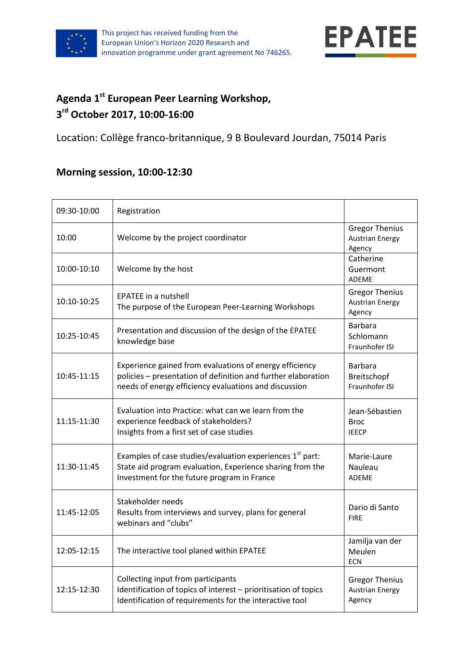



## **Agenda 1 st European Peer Learning Workshop, 3 rd October 2017, 10:00-16:00**

Location: Collège franco-britannique, 9 B Boulevard Jourdan, 75014 Paris

## **Morning session, 10:00-12:30**

| 09:30-10:00 | Registration                                                                                                                                                                      |                                                           |
|-------------|-----------------------------------------------------------------------------------------------------------------------------------------------------------------------------------|-----------------------------------------------------------|
| 10:00       | Welcome by the project coordinator                                                                                                                                                | <b>Gregor Thenius</b><br><b>Austrian Energy</b><br>Agency |
| 10:00-10:10 | Welcome by the host                                                                                                                                                               | Catherine<br>Guermont<br><b>ADEME</b>                     |
| 10:10-10:25 | <b>EPATEE</b> in a nutshell<br>The purpose of the European Peer-Learning Workshops                                                                                                | <b>Gregor Thenius</b><br><b>Austrian Energy</b><br>Agency |
| 10:25-10:45 | Presentation and discussion of the design of the EPATEE<br>knowledge base                                                                                                         | <b>Barbara</b><br>Schlomann<br>Fraunhofer ISI             |
| 10:45-11:15 | Experience gained from evaluations of energy efficiency<br>policies - presentation of definition and further elaboration<br>needs of energy efficiency evaluations and discussion | Barbara<br>Breitschopf<br>Fraunhofer ISI                  |
| 11:15-11:30 | Evaluation into Practice: what can we learn from the<br>experience feedback of stakeholders?<br>Insights from a first set of case studies                                         | Jean-Sébastien<br><b>Broc</b><br><b>IEECP</b>             |
| 11:30-11:45 | Examples of case studies/evaluation experiences 1 <sup>st</sup> part:<br>State aid program evaluation, Experience sharing from the<br>Investment for the future program in France | Marie-Laure<br>Nauleau<br><b>ADEME</b>                    |
| 11:45-12:05 | Stakeholder needs<br>Results from interviews and survey, plans for general<br>webinars and "clubs"                                                                                | Dario di Santo<br><b>FIRE</b>                             |
| 12:05-12:15 | The interactive tool planed within EPATEE                                                                                                                                         | Jamilja van der<br>Meulen<br><b>ECN</b>                   |
| 12:15-12:30 | Collecting input from participants<br>Identification of topics of interest - prioritisation of topics<br>Identification of requirements for the interactive tool                  | <b>Gregor Thenius</b><br><b>Austrian Energy</b><br>Agency |